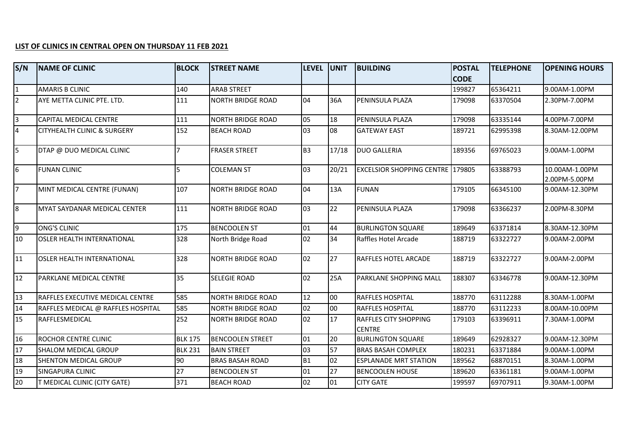## **LIST OF CLINICS IN CENTRAL OPEN ON THURSDAY 11 FEB 2021**

| S/N                     | <b>NAME OF CLINIC</b>              | <b>BLOCK</b>   | <b>STREET NAME</b>       | <b>LEVEL</b>   | <b>UNIT</b> | <b>BUILDING</b>                               | <b>POSTAL</b> | <b>TELEPHONE</b> | <b>OPENING HOURS</b> |
|-------------------------|------------------------------------|----------------|--------------------------|----------------|-------------|-----------------------------------------------|---------------|------------------|----------------------|
|                         |                                    |                |                          |                |             |                                               | <b>CODE</b>   |                  |                      |
| $\mathbf{1}$            | IAMARIS B CLINIC                   | 140            | <b>ARAB STREET</b>       |                |             |                                               | 199827        | 65364211         | 9.00AM-1.00PM        |
| $\overline{2}$          | AYE METTA CLINIC PTE. LTD.         | 111            | <b>NORTH BRIDGE ROAD</b> | 04             | 36A         | <b>PENINSULA PLAZA</b>                        | 179098        | 63370504         | 2.30PM-7.00PM        |
| $\overline{\mathbf{3}}$ | CAPITAL MEDICAL CENTRE             | 111            | <b>NORTH BRIDGE ROAD</b> | 05             | 18          | PENINSULA PLAZA                               | 179098        | 63335144         | 4.00PM-7.00PM        |
| $\overline{4}$          | CITYHEALTH CLINIC & SURGERY        | 152            | <b>BEACH ROAD</b>        | 03             | 08          | <b>GATEWAY EAST</b>                           | 189721        | 62995398         | 8.30AM-12.00PM       |
| 5                       | DTAP @ DUO MEDICAL CLINIC          |                | <b>FRASER STREET</b>     | B <sub>3</sub> | 17/18       | <b>DUO GALLERIA</b>                           | 189356        | 69765023         | 9.00AM-1.00PM        |
| $6 \overline{6}$        | <b>FUNAN CLINIC</b>                | l5.            | <b>COLEMAN ST</b>        | 03             | 20/21       | <b>EXCELSIOR SHOPPING CENTRE 179805</b>       |               | 63388793         | 10.00AM-1.00PM       |
|                         |                                    |                |                          |                |             |                                               |               |                  | 2.00PM-5.00PM        |
| $\overline{7}$          | MINT MEDICAL CENTRE (FUNAN)        | 107            | <b>NORTH BRIDGE ROAD</b> | 04             | 13A         | <b>FUNAN</b>                                  | 179105        | 66345100         | 9.00AM-12.30PM       |
| 8                       | MYAT SAYDANAR MEDICAL CENTER       | 111            | <b>NORTH BRIDGE ROAD</b> | 03             | 22          | <b>PENINSULA PLAZA</b>                        | 179098        | 63366237         | 2.00PM-8.30PM        |
| $\overline{9}$          | <b>ONG'S CLINIC</b>                | 175            | <b>BENCOOLEN ST</b>      | 01             | 44          | <b>BURLINGTON SQUARE</b>                      | 189649        | 63371814         | 8.30AM-12.30PM       |
| 10                      | <b>OSLER HEALTH INTERNATIONAL</b>  | 328            | North Bridge Road        | 02             | 34          | Raffles Hotel Arcade                          | 188719        | 63322727         | 9.00AM-2.00PM        |
| $\overline{11}$         | <b>OSLER HEALTH INTERNATIONAL</b>  | 328            | <b>NORTH BRIDGE ROAD</b> | 02             | 27          | RAFFLES HOTEL ARCADE                          | 188719        | 63322727         | 9.00AM-2.00PM        |
| 12                      | PARKLANE MEDICAL CENTRE            | 35             | SELEGIE ROAD             | 02             | 25A         | PARKLANE SHOPPING MALL                        | 188307        | 63346778         | 9.00AM-12.30PM       |
| 13                      | RAFFLES EXECUTIVE MEDICAL CENTRE   | 585            | <b>NORTH BRIDGE ROAD</b> | 12             | 00          | <b>RAFFLES HOSPITAL</b>                       | 188770        | 63112288         | 8.30AM-1.00PM        |
| 14                      | RAFFLES MEDICAL @ RAFFLES HOSPITAL | 585            | <b>NORTH BRIDGE ROAD</b> | 02             | 00          | <b>RAFFLES HOSPITAL</b>                       | 188770        | 63112233         | 8.00AM-10.00PM       |
| 15                      | RAFFLESMEDICAL                     | 252            | <b>NORTH BRIDGE ROAD</b> | 02             | 17          | <b>RAFFLES CITY SHOPPING</b><br><b>CENTRE</b> | 179103        | 63396911         | 7.30AM-1.00PM        |
| 16                      | ROCHOR CENTRE CLINIC               | <b>BLK 175</b> | <b>BENCOOLEN STREET</b>  | 01             | 20          | <b>BURLINGTON SQUARE</b>                      | 189649        | 62928327         | 9.00AM-12.30PM       |
| 17                      | <b>SHALOM MEDICAL GROUP</b>        | <b>BLK 231</b> | <b>BAIN STREET</b>       | 03             | 57          | <b>BRAS BASAH COMPLEX</b>                     | 180231        | 63371884         | 9.00AM-1.00PM        |
| 18                      | SHENTON MEDICAL GROUP              | 90             | <b>BRAS BASAH ROAD</b>   | <b>B1</b>      | 02          | <b>ESPLANADE MRT STATION</b>                  | 189562        | 68870151         | 8.30AM-1.00PM        |
| 19                      | <b>SINGAPURA CLINIC</b>            | 27             | <b>BENCOOLEN ST</b>      | 01             | 27          | <b>BENCOOLEN HOUSE</b>                        | 189620        | 63361181         | 9.00AM-1.00PM        |
| 20                      | T MEDICAL CLINIC (CITY GATE)       | 371            | <b>BEACH ROAD</b>        | 02             | 01          | <b>CITY GATE</b>                              | 199597        | 69707911         | 9.30AM-1.00PM        |